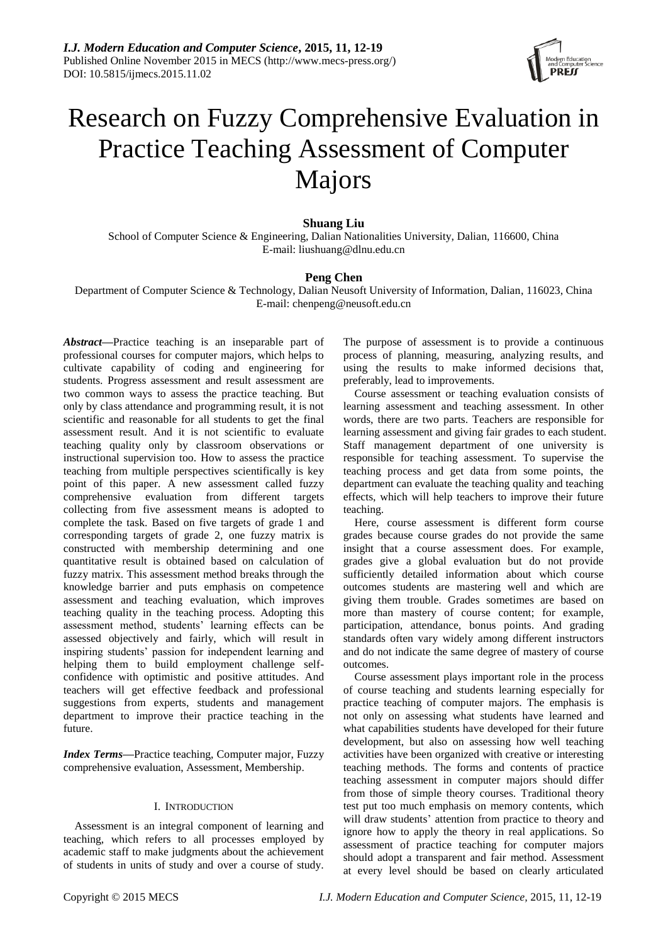

# Research on Fuzzy Comprehensive Evaluation in Practice Teaching Assessment of Computer Majors

# **Shuang Liu**

School of Computer Science & Engineering, Dalian Nationalities University, Dalian, 116600, China E-mail: liushuang@dlnu.edu.cn

# **Peng Chen**

Department of Computer Science & Technology, Dalian Neusoft University of Information, Dalian, 116023, China E-mail: chenpeng@neusoft.edu.cn

*Abstract***—**Practice teaching is an inseparable part of professional courses for computer majors, which helps to cultivate capability of coding and engineering for students. Progress assessment and result assessment are two common ways to assess the practice teaching. But only by class attendance and programming result, it is not scientific and reasonable for all students to get the final assessment result. And it is not scientific to evaluate teaching quality only by classroom observations or instructional supervision too. How to assess the practice teaching from multiple perspectives scientifically is key point of this paper. A new assessment called fuzzy comprehensive evaluation from different targets collecting from five assessment means is adopted to complete the task. Based on five targets of grade 1 and corresponding targets of grade 2, one fuzzy matrix is constructed with membership determining and one quantitative result is obtained based on calculation of fuzzy matrix. This assessment method breaks through the knowledge barrier and puts emphasis on competence assessment and teaching evaluation, which improves teaching quality in the teaching process. Adopting this assessment method, students' learning effects can be assessed objectively and fairly, which will result in inspiring students' passion for independent learning and helping them to build employment challenge selfconfidence with optimistic and positive attitudes. And teachers will get effective feedback and professional suggestions from experts, students and management department to improve their practice teaching in the future.

*Index Terms***—**Practice teaching, Computer major, Fuzzy comprehensive evaluation, Assessment, Membership.

# I. INTRODUCTION

Assessment is an integral component of learning and teaching, which refers to all processes employed by academic staff to make judgments about the achievement of students in units of study and over a course of study.

The purpose of assessment is to provide a continuous process of planning, measuring, analyzing results, and using the results to make informed decisions that, preferably, lead to improvements.

Course assessment or teaching evaluation consists of learning assessment and teaching assessment. In other words, there are two parts. Teachers are responsible for learning assessment and giving fair grades to each student. Staff management department of one university is responsible for teaching assessment. To supervise the teaching process and get data from some points, the department can evaluate the teaching quality and teaching effects, which will help teachers to improve their future teaching.

Here, course assessment is different form course grades because course grades do not provide the same insight that a course assessment does. For example, grades give a global evaluation but do not provide sufficiently detailed information about which course outcomes students are mastering well and which are giving them trouble. Grades sometimes are based on more than mastery of course content; for example, participation, attendance, bonus points. And grading standards often vary widely among different instructors and do not indicate the same degree of mastery of course outcomes.

Course assessment plays important role in the process of course teaching and students learning especially for practice teaching of computer majors. The emphasis is not only on assessing what students have learned and what capabilities students have developed for their future development, but also on assessing how well teaching activities have been organized with creative or interesting teaching methods. The forms and contents of practice teaching assessment in computer majors should differ from those of simple theory courses. Traditional theory test put too much emphasis on memory contents, which will draw students' attention from practice to theory and ignore how to apply the theory in real applications. So assessment of practice teaching for computer majors should adopt a transparent and fair method. Assessment at every level should be based on clearly articulated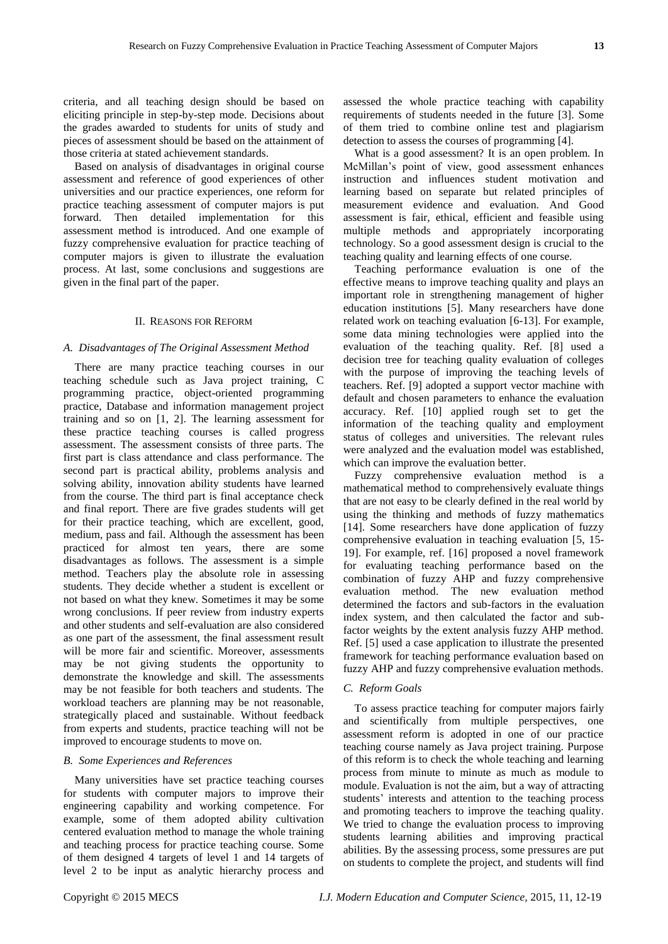criteria, and all teaching design should be based on eliciting principle in step-by-step mode. Decisions about the grades awarded to students for units of study and pieces of assessment should be based on the attainment of those criteria at stated achievement standards.

Based on analysis of disadvantages in original course assessment and reference of good experiences of other universities and our practice experiences, one reform for practice teaching assessment of computer majors is put forward. Then detailed implementation for this assessment method is introduced. And one example of fuzzy comprehensive evaluation for practice teaching of computer majors is given to illustrate the evaluation process. At last, some conclusions and suggestions are given in the final part of the paper.

#### II. REASONS FOR REFORM

### *A. Disadvantages of The Original Assessment Method*

There are many practice teaching courses in our teaching schedule such as Java project training, C programming practice, object-oriented programming practice, Database and information management project training and so on [1, 2]. The learning assessment for these practice teaching courses is called progress assessment. The assessment consists of three parts. The first part is class attendance and class performance. The second part is practical ability, problems analysis and solving ability, innovation ability students have learned from the course. The third part is final acceptance check and final report. There are five grades students will get for their practice teaching, which are excellent, good, medium, pass and fail. Although the assessment has been practiced for almost ten years, there are some disadvantages as follows. The assessment is a simple method. Teachers play the absolute role in assessing students. They decide whether a student is excellent or not based on what they knew. Sometimes it may be some wrong conclusions. If peer review from industry experts and other students and self-evaluation are also considered as one part of the assessment, the final assessment result will be more fair and scientific. Moreover, assessments may be not giving students the opportunity to demonstrate the knowledge and skill. The assessments may be not feasible for both teachers and students. The workload teachers are planning may be not reasonable, strategically placed and sustainable. Without feedback from experts and students, practice teaching will not be improved to encourage students to move on.

#### *B. Some Experiences and References*

Many universities have set practice teaching courses for students with computer majors to improve their engineering capability and working competence. For example, some of them adopted ability cultivation centered evaluation method to manage the whole training and teaching process for practice teaching course. Some of them designed 4 targets of level 1 and 14 targets of level 2 to be input as analytic hierarchy process and

assessed the whole practice teaching with capability requirements of students needed in the future [3]. Some of them tried to combine online test and plagiarism detection to assess the courses of programming [4].

What is a good assessment? It is an open problem. In McMillan's point of view, good assessment enhances instruction and influences student motivation and learning based on separate but related principles of measurement evidence and evaluation. And Good assessment is fair, ethical, efficient and feasible using multiple methods and appropriately incorporating technology. So a good assessment design is crucial to the teaching quality and learning effects of one course.

Teaching performance evaluation is one of the effective means to improve teaching quality and plays an important role in strengthening management of higher education institutions [5]. Many researchers have done related work on teaching evaluation [6-13]. For example, some data mining technologies were applied into the evaluation of the teaching quality. Ref. [8] used a decision tree for teaching quality evaluation of colleges with the purpose of improving the teaching levels of teachers. Ref. [9] adopted a support vector machine with default and chosen parameters to enhance the evaluation accuracy. Ref. [10] applied rough set to get the information of the teaching quality and employment status of colleges and universities. The relevant rules were analyzed and the evaluation model was established, which can improve the evaluation better.

Fuzzy comprehensive evaluation method is a mathematical method to comprehensively evaluate things that are not easy to be clearly defined in the real world by using the thinking and methods of fuzzy mathematics [14]. Some researchers have done application of fuzzy comprehensive evaluation in teaching evaluation [5, 15- 19]. For example, ref. [16] proposed a novel framework for evaluating teaching performance based on the combination of fuzzy AHP and fuzzy comprehensive evaluation method. The new evaluation method determined the factors and sub-factors in the evaluation index system, and then calculated the factor and subfactor weights by the extent analysis fuzzy AHP method. Ref. [5] used a case application to illustrate the presented framework for teaching performance evaluation based on fuzzy AHP and fuzzy comprehensive evaluation methods.

# *C. Reform Goals*

To assess practice teaching for computer majors fairly and scientifically from multiple perspectives, one assessment reform is adopted in one of our practice teaching course namely as Java project training. Purpose of this reform is to check the whole teaching and learning process from minute to minute as much as module to module. Evaluation is not the aim, but a way of attracting students' interests and attention to the teaching process and promoting teachers to improve the teaching quality. We tried to change the evaluation process to improving students learning abilities and improving practical abilities. By the assessing process, some pressures are put on students to complete the project, and students will find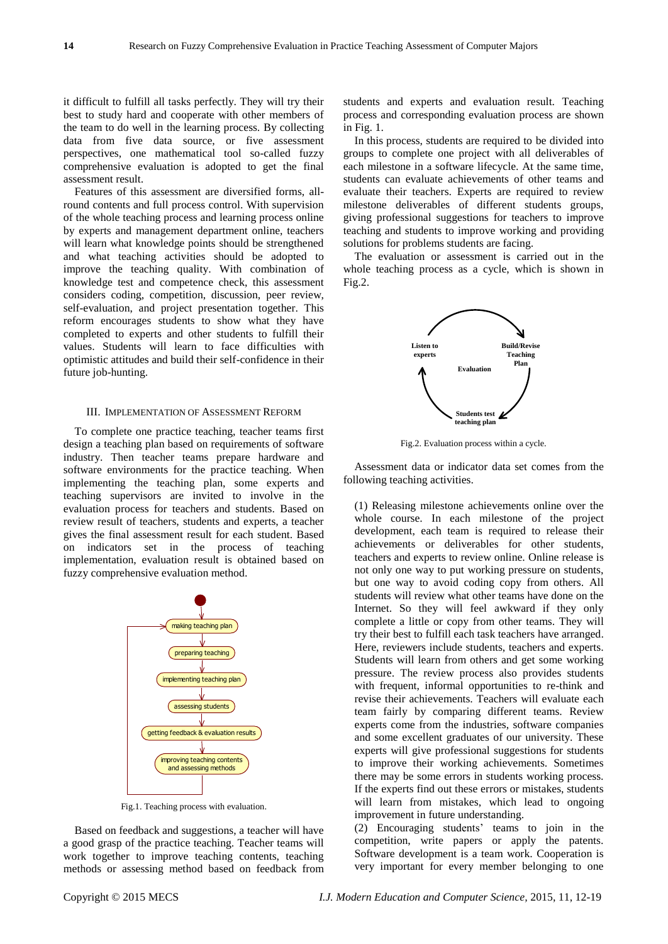it difficult to fulfill all tasks perfectly. They will try their best to study hard and cooperate with other members of the team to do well in the learning process. By collecting data from five data source, or five assessment perspectives, one mathematical tool so-called fuzzy comprehensive evaluation is adopted to get the final assessment result.

Features of this assessment are diversified forms, allround contents and full process control. With supervision of the whole teaching process and learning process online by experts and management department online, teachers will learn what knowledge points should be strengthened and what teaching activities should be adopted to improve the teaching quality. With combination of knowledge test and competence check, this assessment considers coding, competition, discussion, peer review, self-evaluation, and project presentation together. This reform encourages students to show what they have completed to experts and other students to fulfill their values. Students will learn to face difficulties with optimistic attitudes and build their self-confidence in their future job-hunting.

#### III. IMPLEMENTATION OF ASSESSMENT REFORM

To complete one practice teaching, teacher teams first design a teaching plan based on requirements of software industry. Then teacher teams prepare hardware and software environments for the practice teaching. When implementing the teaching plan, some experts and teaching supervisors are invited to involve in the evaluation process for teachers and students. Based on review result of teachers, students and experts, a teacher gives the final assessment result for each student. Based on indicators set in the process of teaching implementation, evaluation result is obtained based on fuzzy comprehensive evaluation method.



Fig.1. Teaching process with evaluation.

Based on feedback and suggestions, a teacher will have a good grasp of the practice teaching. Teacher teams will work together to improve teaching contents, teaching methods or assessing method based on feedback from students and experts and evaluation result. Teaching process and corresponding evaluation process are shown in Fig. 1.

In this process, students are required to be divided into groups to complete one project with all deliverables of each milestone in a software lifecycle. At the same time, students can evaluate achievements of other teams and evaluate their teachers. Experts are required to review milestone deliverables of different students groups, giving professional suggestions for teachers to improve teaching and students to improve working and providing solutions for problems students are facing.

The evaluation or assessment is carried out in the whole teaching process as a cycle, which is shown in Fig.2.



Fig.2. Evaluation process within a cycle.

Assessment data or indicator data set comes from the following teaching activities.

(1) Releasing milestone achievements online over the whole course. In each milestone of the project development, each team is required to release their achievements or deliverables for other students, teachers and experts to review online. Online release is not only one way to put working pressure on students, but one way to avoid coding copy from others. All students will review what other teams have done on the Internet. So they will feel awkward if they only complete a little or copy from other teams. They will try their best to fulfill each task teachers have arranged. Here, reviewers include students, teachers and experts. Students will learn from others and get some working pressure. The review process also provides students with frequent, informal opportunities to re-think and revise their achievements. Teachers will evaluate each team fairly by comparing different teams. Review experts come from the industries, software companies and some excellent graduates of our university. These experts will give professional suggestions for students to improve their working achievements. Sometimes there may be some errors in students working process. If the experts find out these errors or mistakes, students will learn from mistakes, which lead to ongoing improvement in future understanding.

(2) Encouraging students' teams to join in the competition, write papers or apply the patents. Software development is a team work. Cooperation is very important for every member belonging to one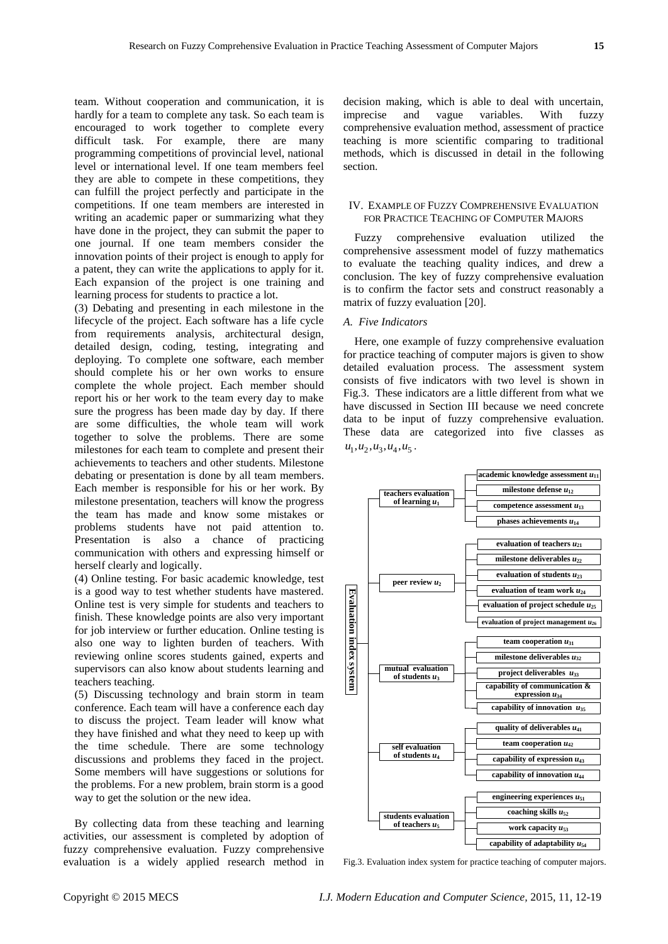team. Without cooperation and communication, it is hardly for a team to complete any task. So each team is encouraged to work together to complete every difficult task. For example, there are many programming competitions of provincial level, national level or international level. If one team members feel they are able to compete in these competitions, they can fulfill the project perfectly and participate in the competitions. If one team members are interested in writing an academic paper or summarizing what they have done in the project, they can submit the paper to one journal. If one team members consider the innovation points of their project is enough to apply for a patent, they can write the applications to apply for it. Each expansion of the project is one training and learning process for students to practice a lot.

(3) Debating and presenting in each milestone in the lifecycle of the project. Each software has a life cycle from requirements analysis, architectural design, detailed design, coding, testing, integrating and deploying. To complete one software, each member should complete his or her own works to ensure complete the whole project. Each member should report his or her work to the team every day to make sure the progress has been made day by day. If there are some difficulties, the whole team will work together to solve the problems. There are some milestones for each team to complete and present their achievements to teachers and other students. Milestone debating or presentation is done by all team members. Each member is responsible for his or her work. By milestone presentation, teachers will know the progress the team has made and know some mistakes or problems students have not paid attention to. Presentation is also a chance of practicing communication with others and expressing himself or herself clearly and logically.

(4) Online testing. For basic academic knowledge, test is a good way to test whether students have mastered. Online test is very simple for students and teachers to finish. These knowledge points are also very important for job interview or further education. Online testing is also one way to lighten burden of teachers. With reviewing online scores students gained, experts and supervisors can also know about students learning and teachers teaching.

(5) Discussing technology and brain storm in team conference. Each team will have a conference each day to discuss the project. Team leader will know what they have finished and what they need to keep up with the time schedule. There are some technology discussions and problems they faced in the project. Some members will have suggestions or solutions for the problems. For a new problem, brain storm is a good way to get the solution or the new idea.

By collecting data from these teaching and learning activities, our assessment is completed by adoption of fuzzy comprehensive evaluation. Fuzzy comprehensive evaluation is a widely applied research method in decision making, which is able to deal with uncertain, imprecise and vague variables. With fuzzy comprehensive evaluation method, assessment of practice teaching is more scientific comparing to traditional methods, which is discussed in detail in the following section.

### IV. EXAMPLE OF FUZZY COMPREHENSIVE EVALUATION FOR PRACTICE TEACHING OF COMPUTER MAJORS

Fuzzy comprehensive evaluation utilized the comprehensive assessment model of fuzzy mathematics to evaluate the teaching quality indices, and drew a conclusion. The key of fuzzy comprehensive evaluation is to confirm the factor sets and construct reasonably a matrix of fuzzy evaluation [20].

#### *A. Five Indicators*

Here, one example of fuzzy comprehensive evaluation for practice teaching of computer majors is given to show detailed evaluation process. The assessment system consists of five indicators with two level is shown in Fig.3. These indicators are a little different from what we have discussed in Section III because we need concrete data to be input of fuzzy comprehensive evaluation. These data are categorized into five classes as  $u_1, u_2, u_3, u_4, u_5$ .



Fig.3. Evaluation index system for practice teaching of computer majors.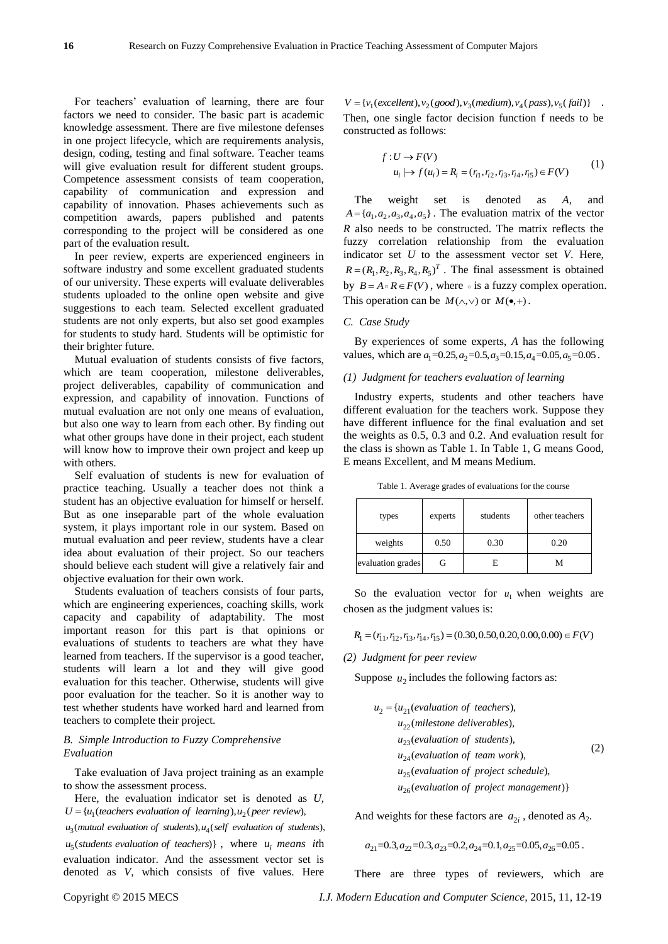For teachers' evaluation of learning, there are four factors we need to consider. The basic part is academic knowledge assessment. There are five milestone defenses in one project lifecycle, which are requirements analysis, design, coding, testing and final software. Teacher teams will give evaluation result for different student groups. Competence assessment consists of team cooperation, capability of communication and expression and capability of innovation. Phases achievements such as competition awards, papers published and patents corresponding to the project will be considered as one part of the evaluation result.

In peer review, experts are experienced engineers in software industry and some excellent graduated students of our university. These experts will evaluate deliverables students uploaded to the online open website and give suggestions to each team. Selected excellent graduated students are not only experts, but also set good examples for students to study hard. Students will be optimistic for their brighter future.

Mutual evaluation of students consists of five factors, which are team cooperation, milestone deliverables, project deliverables, capability of communication and expression, and capability of innovation. Functions of mutual evaluation are not only one means of evaluation, but also one way to learn from each other. By finding out what other groups have done in their project, each student will know how to improve their own project and keep up with others.

Self evaluation of students is new for evaluation of practice teaching. Usually a teacher does not think a student has an objective evaluation for himself or herself. But as one inseparable part of the whole evaluation system, it plays important role in our system. Based on mutual evaluation and peer review, students have a clear idea about evaluation of their project. So our teachers should believe each student will give a relatively fair and objective evaluation for their own work.

Students evaluation of teachers consists of four parts, which are engineering experiences, coaching skills, work capacity and capability of adaptability. The most important reason for this part is that opinions or evaluations of students to teachers are what they have learned from teachers. If the supervisor is a good teacher, students will learn a lot and they will give good evaluation for this teacher. Otherwise, students will give poor evaluation for the teacher. So it is another way to test whether students have worked hard and learned from teachers to complete their project.

## *B. Simple Introduction to Fuzzy Comprehensive Evaluation*

Take evaluation of Java project training as an example to show the assessment process.

Here, the evaluation indicator set is denoted as *U*, Here, the evaluation indicator set is denoted as<br> $U = \{u_1(teachers evaluation of learning), u_2(peer review),\}$  $U = {u_1(teachers evaluation of learning), u_2(peer review),$ <br> $u_3(mutual evaluation of students), u_4(self evaluation of students),$ 

 $u_5$ (*students evaluation of teachers*) $\}$ , where  $u_i$  *means ith* evaluation indicator. And the assessment vector set is denoted as *V*, which consists of five values. Here

 $V = \{v_1(excellent), v_2(good), v_3(medium), v_4(pass), v_5(fail)\}$ . Then, one single factor decision function f needs to be constructed as follows:

$$
f: U \to F(V)
$$
  

$$
u_i \mapsto f(u_i) = R_i = (r_{i1}, r_{i2}, r_{i3}, r_{i4}, r_{i5}) \in F(V)
$$
 (1)

The weight set is denoted as *A*, and  $A = \{a_1, a_2, a_3, a_4, a_5\}$ . The evaluation matrix of the vector *R* also needs to be constructed. The matrix reflects the fuzzy correlation relationship from the evaluation indicator set *U* to the assessment vector set *V*. Here,  $R = (R_1, R_2, R_3, R_4, R_5)^T$ . The final assessment is obtained by  $B = A \circ R \in F(V)$ , where  $\circ$  is a fuzzy complex operation. This operation can be  $M(\wedge, \vee)$  or  $M(\bullet, +)$ .

#### *C. Case Study*

By experiences of some experts, *A* has the following By experiences of some experts, *A* has the following values, which are  $a_1 = 0.25$ ,  $a_2 = 0.5$ ,  $a_3 = 0.15$ ,  $a_4 = 0.05$ ,  $a_5 = 0.05$ .

#### *(1) Judgment for teachers evaluation of learning*

Industry experts, students and other teachers have different evaluation for the teachers work. Suppose they have different influence for the final evaluation and set the weights as 0.5, 0.3 and 0.2. And evaluation result for the class is shown as Table 1. In Table 1, G means Good, E means Excellent, and M means Medium.

| Table 1. Average grades of evaluations for the course |  |  |  |  |  |
|-------------------------------------------------------|--|--|--|--|--|
|-------------------------------------------------------|--|--|--|--|--|

| types             | experts | students | other teachers |
|-------------------|---------|----------|----------------|
| weights           | 0.50    | 0.30     | 0.20           |
| evaluation grades | G       | F.       | М              |

So the evaluation vector for  $u_1$  when weights are chosen as the judgment values is:

 $R_1 = (r_{11}, r_{12}, r_{13}, r_{14}, r_{15}) = (0.30, 0.50, 0.20, 0.00, 0.00) \in F(V)$ 

*(2) Judgment for peer review*

Suppose  $u_2$  includes the following factors as:

$$
u_2 = \{u_{21}(evaluation of teachers),
$$
  
\n
$$
u_{22}(milestone deliverables),
$$
  
\n
$$
u_{23}(evaluation of students),
$$
  
\n
$$
u_{24}(evaluation of team work),
$$
  
\n
$$
u_{25}(evaluation of project schedule),
$$
  
\n
$$
u_{26}(evaluation of project management)\}
$$

And weights for these factors are  $a_{2i}$ , denoted as  $A_2$ .

$$
a_{21}
$$
=0.3,  $a_{22}$ =0.3,  $a_{23}$ =0.2,  $a_{24}$ =0.1,  $a_{25}$ =0.05,  $a_{26}$ =0.05.

There are three types of reviewers, which are

Copyright © 2015 MECS *I.J. Modern Education and Computer Science,* 2015, 11, 12-19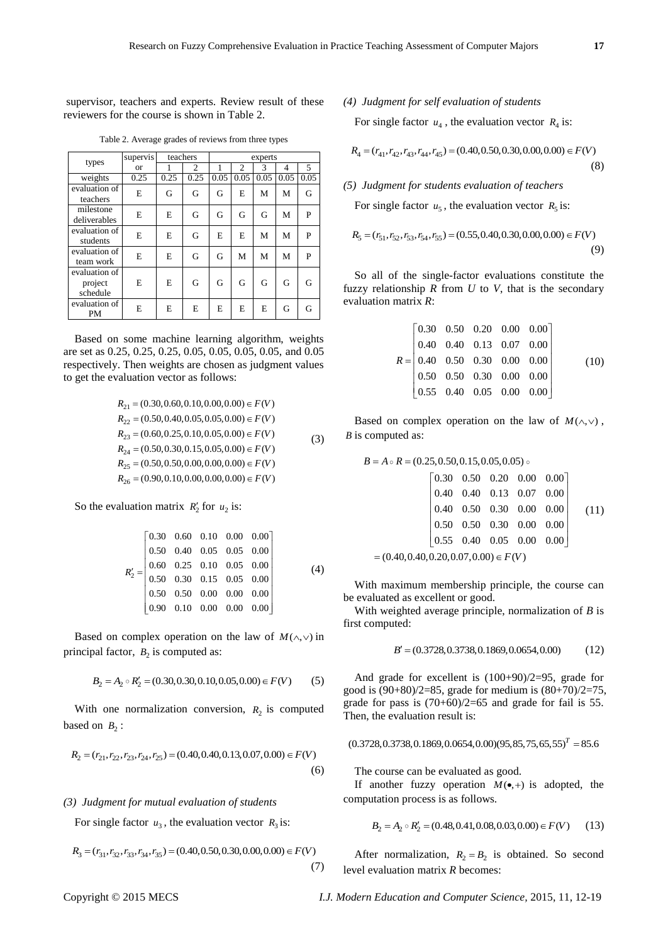supervisor, teachers and experts. Review result of these reviewers for the course is shown in Table 2.

| types                                | supervis      | teachers |      | experts |      |               |      |      |
|--------------------------------------|---------------|----------|------|---------|------|---------------|------|------|
|                                      | <sub>or</sub> |          | 2    | 1       | 2    | $\mathcal{R}$ | 4    | 5    |
| weights                              | 0.25          | 0.25     | 0.25 | 0.05    | 0.05 | 0.05          | 0.05 | 0.05 |
| evaluation of<br>teachers            | E             | G        | G    | G       | E    | M             | M    | G    |
| milestone<br>deliverables            | E             | E        | G    | G       | G    | G             | М    | P    |
| evaluation of<br>students            | E             | E        | G    | E       | E    | M             | M    | P    |
| evaluation of<br>team work           | E             | E        | G    | G       | M    | м             | M    | P    |
| evaluation of<br>project<br>schedule | E             | E.       | G    | G       | G    | G             | G    | G    |
| evaluation of<br><b>PM</b>           | E             | E        | E    | E       | E    | E             | G    | G    |

Table 2. Average grades of reviews from three types

Based on some machine learning algorithm, weights are set as 0.25, 0.25, 0.25, 0.05, 0.05, 0.05, 0.05, and 0.05 respectively. Then weights are chosen as judgment values to get the evaluation vector as follows:

$$
R_{21} = (0.30, 0.60, 0.10, 0.00, 0.00) \in F(V)
$$
  
\n
$$
R_{22} = (0.50, 0.40, 0.05, 0.05, 0.00) \in F(V)
$$
  
\n
$$
R_{23} = (0.60, 0.25, 0.10, 0.05, 0.00) \in F(V)
$$
  
\n
$$
R_{24} = (0.50, 0.30, 0.15, 0.05, 0.00) \in F(V)
$$
  
\n
$$
R_{25} = (0.50, 0.50, 0.00, 0.00, 0.00) \in F(V)
$$
  
\n
$$
R_{26} = (0.90, 0.10, 0.00, 0.00, 0.00) \in F(V)
$$

So the evaluation matrix  $R'_2$  for  $u_2$  is:

$$
R'_{2} = \begin{bmatrix} 0.30 & 0.60 & 0.10 & 0.00 & 0.00 \\ 0.50 & 0.40 & 0.05 & 0.05 & 0.00 \\ 0.60 & 0.25 & 0.10 & 0.05 & 0.00 \\ 0.50 & 0.30 & 0.15 & 0.05 & 0.00 \\ 0.50 & 0.50 & 0.00 & 0.00 & 0.00 \\ 0.90 & 0.10 & 0.00 & 0.00 & 0.00 \end{bmatrix}
$$
 (4)

Based on complex operation on the law of  $M(\wedge, \vee)$  in principal factor,  $B_2$  is computed as:

$$
B_2 = A_2 \circ R'_2 = (0.30, 0.30, 0.10, 0.05, 0.00) \in F(V) \tag{5}
$$

With one normalization conversion,  $R_2$  is computed based on  $B_2$ :

$$
R_2 = (r_{21}, r_{22}, r_{23}, r_{24}, r_{25}) = (0.40, 0.40, 0.13, 0.07, 0.00) \in F(V)
$$
\n(6)

#### *(3) Judgment for mutual evaluation of students*

For single factor  $u_3$ , the evaluation vector  $R_3$  is:

$$
R_3 = (r_{31}, r_{32}, r_{33}, r_{34}, r_{35}) = (0.40, 0.50, 0.30, 0.00, 0.00) \in F(V)
$$
\n(7)

#### *(4) Judgment for self evaluation of students*

For single factor  $u_4$ , the evaluation vector  $R_4$  is:

$$
R_4 = (r_{41}, r_{42}, r_{43}, r_{44}, r_{45}) = (0.40, 0.50, 0.30, 0.00, 0.00) \in F(V)
$$
\n(8)

#### *(5) Judgment for students evaluation of teachers*

For single factor  $u_5$ , the evaluation vector  $R_5$  is:

$$
R_5 = (r_{51}, r_{52}, r_{53}, r_{54}, r_{55}) = (0.55, 0.40, 0.30, 0.00, 0.00) \in F(V)
$$
\n(9)

So all of the single-factor evaluations constitute the fuzzy relationship *R* from *U* to *V*, that is the secondary evaluation matrix *R*:

$$
R = \begin{bmatrix} 0.30 & 0.50 & 0.20 & 0.00 & 0.00 \\ 0.40 & 0.40 & 0.13 & 0.07 & 0.00 \\ 0.40 & 0.50 & 0.30 & 0.00 & 0.00 \\ 0.50 & 0.50 & 0.30 & 0.00 & 0.00 \\ 0.55 & 0.40 & 0.05 & 0.00 & 0.00 \end{bmatrix}
$$
 (10)

Based on complex operation on the law of  $M(\wedge, \vee)$ , *B* is computed as:

$$
B = A \circ R = (0.25, 0.50, 0.15, 0.05, 0.05) \circ
$$

$$
B = A \circ R = (0.25, 0.50, 0.15, 0.05, 0.05) \circ
$$
  
\n
$$
\begin{bmatrix}\n0.30 & 0.50 & 0.20 & 0.00 & 0.00 \\
0.40 & 0.40 & 0.13 & 0.07 & 0.00 \\
0.40 & 0.50 & 0.30 & 0.00 & 0.00 \\
0.50 & 0.50 & 0.30 & 0.00 & 0.00 \\
0.55 & 0.40 & 0.05 & 0.00 & 0.00\n\end{bmatrix}
$$
(11)  
\n
$$
= (0.40, 0.40, 0.20, 0.07, 0.00) \in F(V)
$$

With maximum membership principle, the course can be evaluated as excellent or good.

With weighted average principle, normalization of *B* is first computed:

$$
B' = (0.3728, 0.3738, 0.1869, 0.0654, 0.00) \tag{12}
$$

And grade for excellent is (100+90)/2=95, grade for good is (90+80)/2=85, grade for medium is (80+70)/2=75, grade for pass is  $(70+60)/2=65$  and grade for fail is 55. Then, the evaluation result is:

 $(0.3728, 0.3738, 0.1869, 0.0654, 0.00)(95, 85, 75, 65, 55)^{T} = 85.6$ 

The course can be evaluated as good.

If another fuzzy operation  $M(\bullet, +)$  is adopted, the computation process is as follows.

$$
B_2 = A_2 \circ R'_2 = (0.48, 0.41, 0.08, 0.03, 0.00) \in F(V) \tag{13}
$$

After normalization,  $R_2 = B_2$  is obtained. So second level evaluation matrix *R* becomes:

Copyright © 2015 MECS *I.J. Modern Education and Computer Science,* 2015, 11, 12-19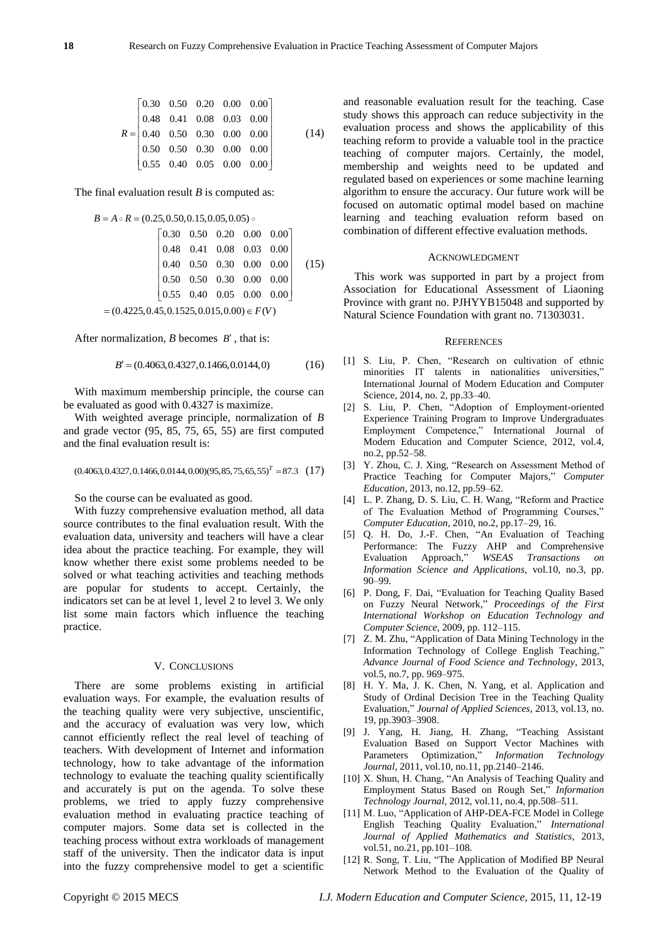$$
R = \begin{bmatrix} 0.30 & 0.50 & 0.20 & 0.00 & 0.00 \\ 0.48 & 0.41 & 0.08 & 0.03 & 0.00 \\ 0.40 & 0.50 & 0.30 & 0.00 & 0.00 \\ 0.50 & 0.50 & 0.30 & 0.00 & 0.00 \\ 0.55 & 0.40 & 0.05 & 0.00 & 0.00 \end{bmatrix}
$$
 (14)

The final evaluation result *B* is computed as:

$$
B = A \circ R = (0.25, 0.50, 0.15, 0.05, 0.05) \circ
$$

$$
B = A \circ K = (0.25, 0.50, 0.15, 0.05, 0.05) \circ
$$
  
\n
$$
\begin{bmatrix}\n0.30 & 0.50 & 0.20 & 0.00 & 0.00 \\
0.48 & 0.41 & 0.08 & 0.03 & 0.00 \\
0.40 & 0.50 & 0.30 & 0.00 & 0.00 \\
0.50 & 0.50 & 0.30 & 0.00 & 0.00 \\
0.55 & 0.40 & 0.05 & 0.00 & 0.00\n\end{bmatrix}
$$
(15)  
\n
$$
= (0.4225, 0.45, 0.1525, 0.015, 0.00) \in F(V)
$$

After normalization, *B* becomes *B* , that is:

$$
B' = (0.4063, 0.4327, 0.1466, 0.0144, 0) \tag{16}
$$

With maximum membership principle, the course can be evaluated as good with 0.4327 is maximize.

With weighted average principle, normalization of *B* and grade vector (95, 85, 75, 65, 55) are first computed and the final evaluation result is:

# $(0.4063, 0.4327, 0.1466, 0.0144, 0.00)(95, 85, 75, 65, 55)^{T} = 87.3 \quad (17)$

So the course can be evaluated as good.

With fuzzy comprehensive evaluation method, all data source contributes to the final evaluation result. With the evaluation data, university and teachers will have a clear idea about the practice teaching. For example, they will know whether there exist some problems needed to be solved or what teaching activities and teaching methods are popular for students to accept. Certainly, the indicators set can be at level 1, level 2 to level 3. We only list some main factors which influence the teaching practice.

#### V. CONCLUSIONS

There are some problems existing in artificial evaluation ways. For example, the evaluation results of the teaching quality were very subjective, unscientific, and the accuracy of evaluation was very low, which cannot efficiently reflect the real level of teaching of teachers. With development of Internet and information technology, how to take advantage of the information technology to evaluate the teaching quality scientifically and accurately is put on the agenda. To solve these problems, we tried to apply fuzzy comprehensive evaluation method in evaluating practice teaching of computer majors. Some data set is collected in the teaching process without extra workloads of management staff of the university. Then the indicator data is input into the fuzzy comprehensive model to get a scientific

and reasonable evaluation result for the teaching. Case study shows this approach can reduce subjectivity in the evaluation process and shows the applicability of this teaching reform to provide a valuable tool in the practice teaching of computer majors. Certainly, the model, membership and weights need to be updated and regulated based on experiences or some machine learning algorithm to ensure the accuracy. Our future work will be focused on automatic optimal model based on machine learning and teaching evaluation reform based on combination of different effective evaluation methods.

#### ACKNOWLEDGMENT

This work was supported in part by a project from Association for Educational Assessment of Liaoning Province with grant no. PJHYYB15048 and supported by Natural Science Foundation with grant no. 71303031.

#### **REFERENCES**

- [1] S. Liu, P. Chen, "Research on cultivation of ethnic minorities IT talents in nationalities universities," International Journal of Modern Education and Computer Science, 2014, no. 2, pp.33–40.
- [2] S. Liu, P. Chen, "Adoption of Employment-oriented Experience Training Program to Improve Undergraduates Employment Competence," International Journal of Modern Education and Computer Science, 2012, vol.4, no.2, pp.52–58.
- [3] Y. Zhou, C. J. Xing, "Research on Assessment Method of Practice Teaching for Computer Majors," *Computer Education*, 2013, no.12, pp.59–62.
- [4] L. P. Zhang, D. S. Liu, C. H. Wang, "Reform and Practice of The Evaluation Method of Programming Courses," *Computer Education*, 2010, no.2, pp.17–29, 16.
- [5] Q. H. Do, J.-F. Chen, "An Evaluation of Teaching Performance: The Fuzzy AHP and Comprehensive Evaluation Approach," *WSEAS Transactions on Information Science and Applications*, vol.10, no.3, pp. 90–99.
- [6] P. Dong, F. Dai, "Evaluation for Teaching Quality Based on Fuzzy Neural Network," *Proceedings of the First International Workshop on Education Technology and Computer Science*, 2009, pp. 112–115.
- [7] Z. M. Zhu, "Application of Data Mining Technology in the Information Technology of College English Teaching," *Advance Journal of Food Science and Technology*, 2013, vol.5, no.7, pp. 969–975.
- [8] H. Y. Ma, J. K. Chen, N. Yang, et al. Application and Study of Ordinal Decision Tree in the Teaching Quality Evaluation," *Journal of Applied Sciences*, 2013, vol.13, no. 19, pp.3903–3908.
- [9] J. Yang, H. Jiang, H. Zhang, "Teaching Assistant Evaluation Based on Support Vector Machines with Parameters Optimization," *Information Technology Journal*, 2011, vol.10, no.11, pp.2140–2146.
- [10] X. Shun, H. Chang, "An Analysis of Teaching Quality and Employment Status Based on Rough Set," *Information Technology Journal*, 2012, vol.11, no.4, pp.508–511.
- [11] M. Luo, "Application of AHP-DEA-FCE Model in College English Teaching Quality Evaluation," *International Journal of Applied Mathematics and Statistics*, 2013, vol.51, no.21, pp.101–108.
- [12] R. Song, T. Liu, "The Application of Modified BP Neural Network Method to the Evaluation of the Quality of